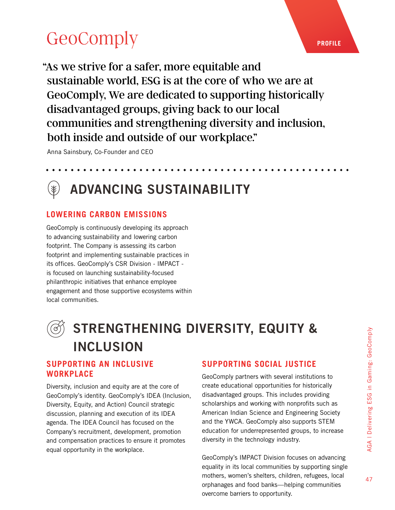# **[GeoComply](https://www.geocomply.com/social-impact/)**

"As we strive for a safer, more equitable and sustainable world, ESG is at the core of who we are at GeoComply, We are dedicated to supporting historically disadvantaged groups, giving back to our local communities and strengthening diversity and inclusion, both inside and outside of our workplace."

Anna Sainsbury, Co-Founder and CEO

### ADVANCING SUSTAINABILITY

### **LOWERING CARBON EMISSIONS**

GeoComply is continuously developing its approach to advancing sustainability and lowering carbon footprint. The Company is assessing its carbon footprint and implementing sustainable practices in its offices. GeoComply's CSR Division - IMPACT is focused on launching sustainability-focused philanthropic initiatives that enhance employee engagement and those supportive ecosystems within local communities.



## STRENGTHENING DIVERSITY, EQUITY & INCLUSION

#### **SUPPORTING AN INCLUSIVE WORKPLACE**

Diversity, inclusion and equity are at the core of GeoComply's identity. GeoComply's IDEA (Inclusion, Diversity, Equity, and Action) Council strategic discussion, planning and execution of its IDEA agenda. The IDEA Council has focused on the Company's recruitment, development, promotion and compensation practices to ensure it promotes equal opportunity in the workplace.

### **SUPPORTING SOCIAL JUSTICE**

GeoComply partners with several institutions to create educational opportunities for historically disadvantaged groups. This includes providing scholarships and working with nonprofits such as American Indian Science and Engineering Society and the YWCA. GeoComply also supports STEM education for underrepresented groups, to increase diversity in the technology industry.

GeoComply's IMPACT Division focuses on advancing equality in its local communities by supporting single mothers, women's shelters, children, refugees, local orphanages and food banks—helping communities overcome barriers to opportunity.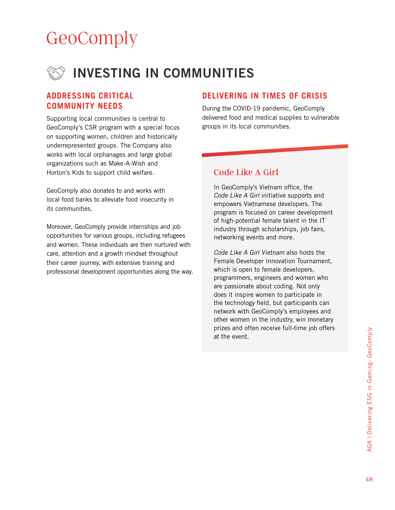# **[GeoComply](https://www.geocomply.com/social-impact/)**



#### **ADDRESSING CRITICAL COMMUNITY NEEDS**

Supporting local communities is central to GeoComply's CSR program with a special focus on supporting women, children and historically underrepresented groups. The Company also works with local orphanages and large global organizations such as Make-A-Wish and Horton's Kids to support child welfare.

GeoComply also donates to and works with local food banks to alleviate food insecurity in its communities.

Moreover, GeoComply provide internships and job opportunities for various groups, including refugees and women. These individuals are then nurtured with care, attention and a growth mindset throughout their career journey, with extensive training and professional development opportunities along the way.

#### **DELIVERING IN TIMES OF CRISIS**

During the COVID-19 pandemic, GeoComply delivered food and medical supplies to vulnerable groups in its local communities.

#### Code Like A Girl

In GeoComply's Vietnam office, the Code Like A Girl initiative supports and empowers Vietnamese developers. The program is focused on career development of high-potential female talent in the IT industry through scholarships, job fairs, networking events and more.

Code Like A Girl Vietnam also hosts the Female Developer Innovation Tournament, which is open to female developers, programmers, engineers and women who are passionate about coding. Not only does it inspire women to participate in the technology field, but participants can network with GeoComply's employees and other women in the industry, win monetary prizes and often receive full-time job offers at the event.